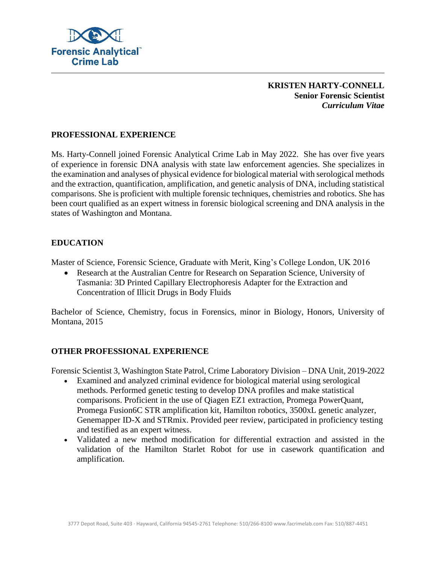

### **KRISTEN HARTY-CONNELL Senior Forensic Scientist** *Curriculum Vitae*

# **PROFESSIONAL EXPERIENCE**

Ms. Harty-Connell joined Forensic Analytical Crime Lab in May 2022. She has over five years of experience in forensic DNA analysis with state law enforcement agencies. She specializes in the examination and analyses of physical evidence for biological material with serological methods and the extraction, quantification, amplification, and genetic analysis of DNA, including statistical comparisons. She is proficient with multiple forensic techniques, chemistries and robotics. She has been court qualified as an expert witness in forensic biological screening and DNA analysis in the states of Washington and Montana.

### **EDUCATION**

Master of Science, Forensic Science, Graduate with Merit, King's College London, UK 2016

• Research at the Australian Centre for Research on Separation Science, University of Tasmania: 3D Printed Capillary Electrophoresis Adapter for the Extraction and Concentration of Illicit Drugs in Body Fluids

Bachelor of Science, Chemistry, focus in Forensics, minor in Biology, Honors, University of Montana, 2015

#### **OTHER PROFESSIONAL EXPERIENCE**

Forensic Scientist 3, Washington State Patrol, Crime Laboratory Division – DNA Unit, 2019-2022

- Examined and analyzed criminal evidence for biological material using serological methods. Performed genetic testing to develop DNA profiles and make statistical comparisons. Proficient in the use of Qiagen EZ1 extraction, Promega PowerQuant, Promega Fusion6C STR amplification kit, Hamilton robotics, 3500xL genetic analyzer, Genemapper ID-X and STRmix. Provided peer review, participated in proficiency testing and testified as an expert witness.
- Validated a new method modification for differential extraction and assisted in the validation of the Hamilton Starlet Robot for use in casework quantification and amplification.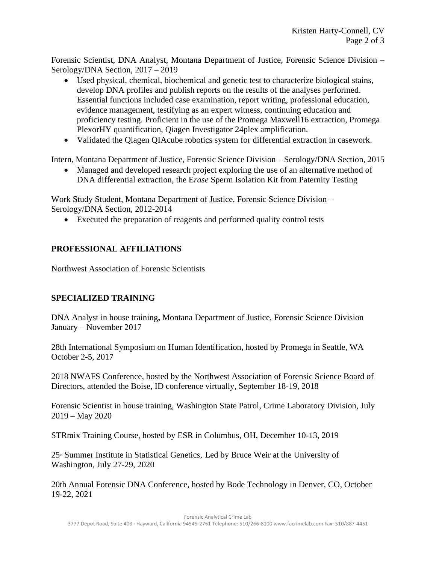Forensic Scientist, DNA Analyst, Montana Department of Justice, Forensic Science Division – Serology/DNA Section, 2017 – 2019

- Used physical, chemical, biochemical and genetic test to characterize biological stains, develop DNA profiles and publish reports on the results of the analyses performed. Essential functions included case examination, report writing, professional education, evidence management, testifying as an expert witness, continuing education and proficiency testing. Proficient in the use of the Promega Maxwell16 extraction, Promega PlexorHY quantification, Qiagen Investigator 24plex amplification.
- Validated the Qiagen QIAcube robotics system for differential extraction in casework.

Intern, Montana Department of Justice, Forensic Science Division – Serology/DNA Section, 2015

• Managed and developed research project exploring the use of an alternative method of DNA differential extraction, the E*rase* Sperm Isolation Kit from Paternity Testing

Work Study Student, Montana Department of Justice, Forensic Science Division – Serology/DNA Section, 2012-2014

• Executed the preparation of reagents and performed quality control tests

# **PROFESSIONAL AFFILIATIONS**

Northwest Association of Forensic Scientists

# **SPECIALIZED TRAINING**

DNA Analyst in house training**,** Montana Department of Justice, Forensic Science Division January – November 2017

28th International Symposium on Human Identification, hosted by Promega in Seattle, WA October 2-5, 2017

2018 NWAFS Conference, hosted by the Northwest Association of Forensic Science Board of Directors, attended the Boise, ID conference virtually, September 18-19, 2018

Forensic Scientist in house training, Washington State Patrol, Crime Laboratory Division, July 2019 – May 2020

STRmix Training Course, hosted by ESR in Columbus, OH, December 10-13, 2019

 $25<sup>th</sup>$  Summer Institute in Statistical Genetics, Led by Bruce Weir at the University of Washington, July 27-29, 2020

20th Annual Forensic DNA Conference, hosted by Bode Technology in Denver, CO, October 19-22, 2021